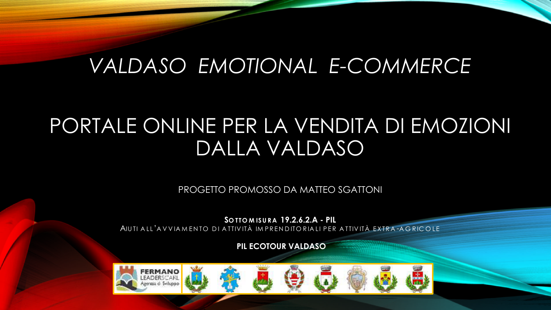# VALDASO EMOTIONAL E-COMMERCE

# PORTALE ONLINE PER LA VENDITA DI EMOZIONI DALLA VALDASO

PROGETTO PROMOSSO DA MATTEO SGATTONI

SOTTOMISURA 19.2.6.2.A - PIL

AIUTI ALL'AVVIAMENTO DI ATTIVITÀ IMPRENDITORIALI PER ATTIVITÀ EXTRA-AGRICOLE

PIL ECOTOUR VALDASO

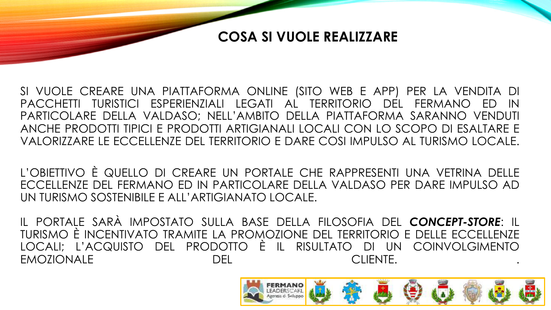#### **COSA SI VUOLE REALIZZARE**

SI VUOLE CREARE UNA PIATTAFORMA ONLINE (SITO WEB E APP) PER LA VENDITA DI PACCHETTI TURISTICI ESPERIENZIALI LEGATI AL TERRITORIO DEL FERMANO ED IN PARTICOLARE DELLA VALDASO; NELL'AMBITO DELLA PIATTAFORMA SARANNO VENDUTI ANCHE PRODOTTI TIPICI E PRODOTTI ARTIGIANALI LOCALI CON LO SCOPO DI ESALTARE E VALORIZZARE LE ECCELLENZE DEL TERRITORIO E DARE COSI IMPULSO AL TURISMO LOCALE.

L'OBIETTIVO È QUELLO DI CREARE UN PORTALE CHE RAPPRESENTI UNA VETRINA DELLE ECCELLENZE DEL FERMANO ED IN PARTICOLARE DELLA VALDASO PER DARE IMPULSO AD UN TURISMO SOSTENIBILE E ALL'ARTIGIANATO LOCALE.

IL PORTALE SARÀ IMPOSTATO SULLA BASE DELLA FILOSOFIA DEL *CONCEPT-STORE*: IL TURISMO È INCENTIVATO TRAMITE LA PROMOZIONE DEL TERRITORIO E DELLE ECCELLENZE LOCALI; L'ACQUISTO DEL PRODOTTO È IL RISULTATO DI UN COINVOLGIMENTO EMOZIONALE DEL CLIENTE. .

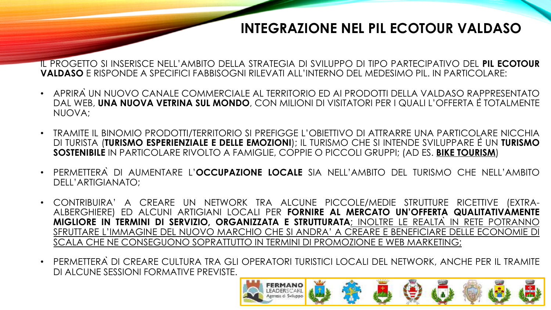### **INTEGRAZIONE NEL PIL ECOTOUR VALDASO**

IL PROGETTO SI INSERISCE NELL'AMBITO DELLA STRATEGIA DI SVILUPPO DI TIPO PARTECIPATIVO DEL **PIL ECOTOUR VALDASO** E RISPONDE A SPECIFICI FABBISOGNI RILEVATI ALL'INTERNO DEL MEDESIMO PIL. IN PARTICOLARE:

- APRIRÀUN NUOVO CANALE COMMERCIALE AL TERRITORIO ED AI PRODOTTI DELLA VALDASO RAPPRESENTATO DAL WEB, **UNA NUOVA VETRINA SUL MONDO**, CON MILIONI DI VISITATORI PER I QUALI L'OFFERTA ÈTOTALMENTE NUOVA;
- TRAMITE IL BINOMIO PRODOTTI/TERRITORIO SI PREFIGGE L'OBIETTIVO DI ATTRARRE UNA PARTICOLARE NICCHIA DI TURISTA (**TURISMO ESPERIENZIALE E DELLE EMOZIONI**); IL TURISMO CHE SI INTENDE SVILUPPARE ÈUN **TURISMO SOSTENIBILE** IN PARTICOLARE RIVOLTO A FAMIGLIE, COPPIE O PICCOLI GRUPPI; (AD ES. **BIKE TOURISM**)
- PERMETTERÀ DI AUMENTARE L'**OCCUPAZIONE LOCALE** SIA NELL'AMBITO DEL TURISMO CHE NELL'AMBITO DELL'ARTIGIANATO;
- CONTRIBUIRA' A CREARE UN NETWORK TRA ALCUNE PICCOLE/MEDIE STRUTTURE RICETTIVE (EXTRA-ALBERGHIERE) ED ALCUNI ARTIGIANI LOCALI PER **FORNIRE AL MERCATO UN'OFFERTA QUALITATIVAMENTE MIGLIORE IN TERMINI DI SERVIZIO, ORGANIZZATA E STRUTTURATA**; INOLTRE LE REALTÀ IN RETE POTRANNO SFRUTTARE L'IMMAGINE DEL NUOVO MARCHIO CHE SI ANDRA' A CREARE E BENEFICIARE DELLE ECONOMIE DI SCALA CHE NE CONSEGUONO SOPRATTUTTO IN TERMINI DI PROMOZIONE E WEB MARKETING;
- PERMETTERÀ DI CREARE CULTURA TRA GLI OPERATORI TURISTICI LOCALI DEL NETWORK, ANCHE PER IL TRAMITE DI ALCUNE SESSIONI FORMATIVE PREVISTE.

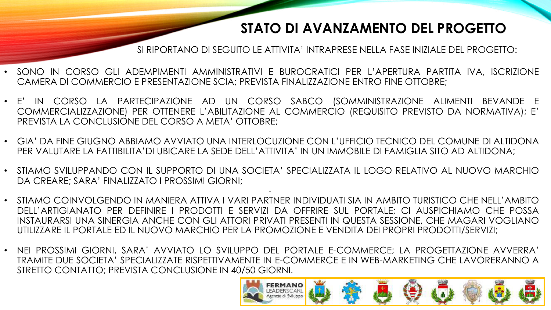### **STATO DI AVANZAMENTO DEL PROGETTO**

SI RIPORTANO DI SEGUITO LE ATTIVITA' INTRAPRESE NELLA FASE INIZIALE DEL PROGETTO:

- SONO IN CORSO GLI ADEMPIMENTI AMMINISTRATIVI E BUROCRATICI PER L'APERTURA PARTITA IVA, ISCRIZIONE CAMERA DI COMMERCIO E PRESENTAZIONE SCIA; PREVISTA FINALIZZAZIONE ENTRO FINE OTTOBRE;
- E' IN CORSO LA PARTECIPAZIONE AD UN CORSO SABCO (SOMMINISTRAZIONE ALIMENTI BEVANDE E COMMERCIALIZZAZIONE) PER OTTENERE L'ABILITAZIONE AL COMMERCIO (REQUISITO PREVISTO DA NORMATIVA); E' PREVISTA LA CONCLUSIONE DEL CORSO A META' OTTOBRE;
- GIA' DA FINE GIUGNO ABBIAMO AVVIATO UNA INTERLOCUZIONE CON L'UFFICIO TECNICO DEL COMUNE DI ALTIDONA PER VALUTARE LA FATTIBILITA'DI UBICARE LA SEDE DELL'ATTIVITA' IN UN IMMOBILE DI FAMIGLIA SITO AD ALTIDONA;
- . • STIAMO SVILUPPANDO CON IL SUPPORTO DI UNA SOCIETA' SPECIALIZZATA IL LOGO RELATIVO AL NUOVO MARCHIO DA CREARE; SARA' FINALIZZATO I PROSSIMI GIORNI;
- STIAMO COINVOLGENDO IN MANIERA ATTIVA I VARI PARTNER INDIVIDUATI SIA IN AMBITO TURISTICO CHE NELL'AMBITO DELL'ARTIGIANATO PER DEFINIRE I PRODOTTI E SERVIZI DA OFFRIRE SUL PORTALE; CI AUSPICHIAMO CHE POSSA INSTAURARSI UNA SINERGIA ANCHE CON GLI ATTORI PRIVATI PRESENTI IN QUESTA SESSIONE, CHE MAGARI VOGLIANO UTILIZZARE IL PORTALE ED IL NUOVO MARCHIO PER LA PROMOZIONE E VENDITA DEI PROPRI PRODOTTI/SERVIZI;
- NEI PROSSIMI GIORNI, SARA' AVVIATO LO SVILUPPO DEL PORTALE E-COMMERCE; LA PROGETTAZIONE AVVERRA' TRAMITE DUE SOCIETA' SPECIALIZZATE RISPETTIVAMENTE IN E-COMMERCE E IN WEB-MARKETING CHE LAVORERANNO A STRETTO CONTATTO; PREVISTA CONCLUSIONE IN 40/50 GIORNI.